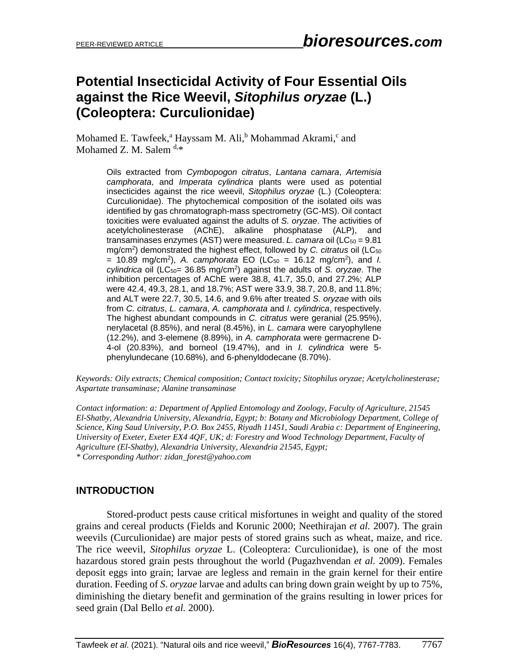# **Potential Insecticidal Activity of Four Essential Oils against the Rice Weevil,** *Sitophilus oryzae* **(L.) (Coleoptera: Curculionidae)**

Mohamed E. Tawfeek,<sup>a</sup> Hayssam M. Ali,<sup>b</sup> Mohammad Akrami,<sup>c</sup> and Mohamed Z. M. Salem  $d.*$ 

> Oils extracted from *Cymbopogon citratus*, *Lantana camara*, *Artemisia camphorata*, and *Imperata cylindrica* plants were used as potential insecticides against the rice weevil, *Sitophilus oryzae* (L.) (Coleoptera: Curculionidae). The phytochemical composition of the isolated oils was identified by gas chromatograph-mass spectrometry (GC-MS). Oil contact toxicities were evaluated against the adults of *S. oryzae*. The activities of acetylcholinesterase (AChE), alkaline phosphatase (ALP), and transaminases enzymes (AST) were measured. *L. camara* oil (LC<sub>50</sub> = 9.81 mg/cm<sup>2</sup>) demonstrated the highest effect, followed by *C. citratus* oil (LC<sub>50</sub>  $= 10.89$  mg/cm<sup>2</sup>), A. camphorata EO (LC<sub>50</sub> = 16.12 mg/cm<sup>2</sup>), and *I.* cylindrica oil (LC<sub>50</sub>= 36.85 mg/cm<sup>2</sup>) against the adults of *S. oryzae*. The inhibition percentages of AChE were 38.8, 41.7, 35.0, and 27.2%; ALP were 42.4, 49.3, 28.1, and 18.7%; AST were 33.9, 38.7, 20.8, and 11.8%; and ALT were 22.7, 30.5, 14.6, and 9.6% after treated *S. oryzae* with oils from *C. citratus*, *L. camara*, *A. camphorata* and *I. cylindrica*, respectively. The highest abundant compounds in *C. citratus* were geranial (25.95%), nerylacetal (8.85%), and neral (8.45%), in *L. camara* were caryophyllene (12.2%), and 3-elemene (8.89%), in *A. camphorata* were germacrene D-4-ol (20.83%), and borneol (19.47%), and in *I. cylindrica* were 5 phenylundecane (10.68%), and 6-phenyldodecane (8.70%).

*Keywords: Oily extracts; Chemical composition; Contact toxicity; Sitophilus oryzae; Acetylcholinesterase; Aspartate transaminase; Alanine transaminase*

*Contact information: a: Department of Applied Entomology and Zoology, Faculty of Agriculture, 21545 El-Shatby, Alexandria University, Alexandria, Egypt; b: Botany and Microbiology Department, College of Science, King Saud University, P.O. Box 2455, Riyadh 11451, Saudi Arabia c: Department of Engineering, University of Exeter, Exeter EX4 4QF, UK; d: Forestry and Wood Technology Department, Faculty of Agriculture (El-Shatby), Alexandria University, Alexandria 21545, Egypt; \* Corresponding Author: zidan\_forest@yahoo.com*

## **INTRODUCTION**

Stored-product pests cause critical misfortunes in weight and quality of the stored grains and cereal products (Fields and Korunic 2000; Neethirajan *et al.* 2007). The grain weevils (Curculionidae) are major pests of stored grains such as wheat, maize, and rice. The rice weevil, *Sitophilus oryzae* L. (Coleoptera: Curculionidae), is one of the most hazardous stored grain pests throughout the world (Pugazhvendan *et al.* 2009). Females deposit eggs into grain; larvae are legless and remain in the grain kernel for their entire duration. Feeding of *S*. *oryzae* larvae and adults can bring down grain weight by up to 75%, diminishing the dietary benefit and germination of the grains resulting in lower prices for seed grain (Dal Bello *et al.* 2000).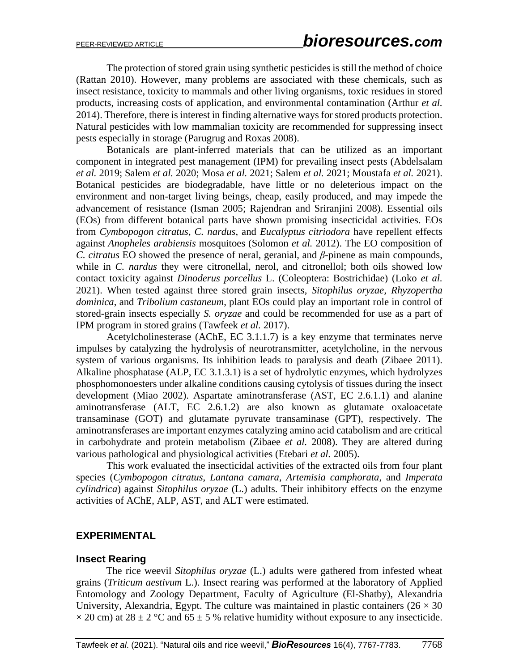The protection of stored grain using synthetic pesticides is still the method of choice (Rattan 2010). However, many problems are associated with these chemicals, such as insect resistance, toxicity to mammals and other living organisms, toxic residues in stored products, increasing costs of application, and environmental contamination (Arthur *et al.* 2014). Therefore, there is interest in finding alternative ways for stored products protection. Natural pesticides with low mammalian toxicity are recommended for suppressing insect pests especially in storage (Parugrug and Roxas 2008).

Botanicals are plant-inferred materials that can be utilized as an important component in integrated pest management (IPM) for prevailing insect pests (Abdelsalam *et al.* 2019; Salem *et al.* 2020; Mosa *et al.* 2021; Salem *et al.* 2021; Moustafa *et al.* 2021). Botanical pesticides are biodegradable, have little or no deleterious impact on the environment and non-target living beings, cheap, easily produced, and may impede the advancement of resistance (Isman 2005; Rajendran and Sriranjini 2008). Essential oils (EOs) from different botanical parts have shown promising insecticidal activities. EOs from *Cymbopogon citratus*, *C. nardus*, and *Eucalyptus citriodora* have repellent effects against *Anopheles arabiensis* mosquitoes (Solomon *et al.* 2012). The EO composition of *C. citratus* EO showed the presence of neral, geranial, and *β*-pinene as main compounds, while in *C. nardus* they were citronellal, nerol, and citronellol; both oils showed low contact toxicity against *Dinoderus porcellus* L. (Coleoptera: Bostrichidae) (Loko *et al.* 2021). When tested against three stored grain insects, *Sitophilus oryzae, Rhyzopertha dominica*, and *Tribolium castaneum*, plant EOs could play an important role in control of stored-grain insects especially *S. oryzae* and could be recommended for use as a part of IPM program in stored grains (Tawfeek *et al.* 2017).

Acetylcholinesterase (AChE, EC 3.1.1.7) is a key enzyme that terminates nerve impulses by catalyzing the hydrolysis of neurotransmitter, acetylcholine, in the nervous system of various organisms. Its inhibition leads to paralysis and death (Zibaee 2011). Alkaline phosphatase (ALP, EC 3.1.3.1) is a set of hydrolytic enzymes, which hydrolyzes phosphomonoesters under alkaline conditions causing cytolysis of tissues during the insect development (Miao 2002). Aspartate aminotransferase (AST, EC 2.6.1.1) and alanine aminotransferase (ALT, EC 2.6.1.2) are also known as glutamate oxaloacetate transaminase (GOT) and glutamate pyruvate transaminase (GPT), respectively. The aminotransferases are important enzymes catalyzing amino acid catabolism and are critical in carbohydrate and protein metabolism (Zibaee *et al.* 2008). They are altered during various pathological and physiological activities (Etebari *et al.* 2005).

This work evaluated the insecticidal activities of the extracted oils from four plant species (*Cymbopogon citratus*, *Lantana camara*, *Artemisia camphorata*, and *Imperata cylindrica*) against *Sitophilus oryzae* (L.) adults. Their inhibitory effects on the enzyme activities of AChE, ALP, AST, and ALT were estimated.

### **EXPERIMENTAL**

### **Insect Rearing**

The rice weevil *Sitophilus oryzae* (L.) adults were gathered from infested wheat grains (*Triticum aestivum* L.). Insect rearing was performed at the laboratory of Applied Entomology and Zoology Department, Faculty of Agriculture (El-Shatby), Alexandria University, Alexandria, Egypt. The culture was maintained in plastic containers ( $26 \times 30$ )  $\times$  20 cm) at 28  $\pm$  2 °C and 65  $\pm$  5 % relative humidity without exposure to any insecticide.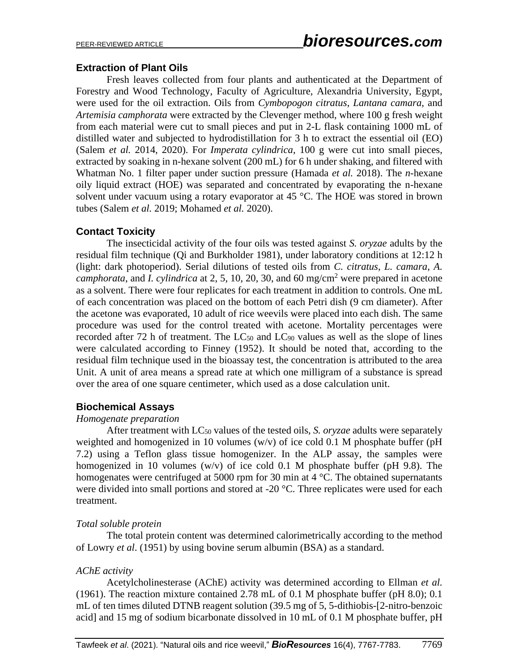## **Extraction of Plant Oils**

Fresh leaves collected from four plants and authenticated at the Department of Forestry and Wood Technology, Faculty of Agriculture, Alexandria University, Egypt, were used for the oil extraction. Oils from *Cymbopogon citratus*, *Lantana camara*, and *Artemisia camphorata* were extracted by the Clevenger method, where 100 g fresh weight from each material were cut to small pieces and put in 2-L flask containing 1000 mL of distilled water and subjected to hydrodistillation for 3 h to extract the essential oil (EO) (Salem *et al.* 2014, 2020). For *Imperata cylindrica*, 100 g were cut into small pieces, extracted by soaking in n-hexane solvent (200 mL) for 6 h under shaking, and filtered with Whatman No. 1 filter paper under suction pressure (Hamada *et al.* 2018). The *n*-hexane oily liquid extract (HOE) was separated and concentrated by evaporating the n-hexane solvent under vacuum using a rotary evaporator at 45 °C. The HOE was stored in brown tubes (Salem *et al.* 2019; Mohamed *et al.* 2020).

## **Contact Toxicity**

The insecticidal activity of the four oils was tested against *S. oryzae* adults by the residual film technique (Qi and Burkholder 1981), under laboratory conditions at 12:12 h (light: dark photoperiod). Serial dilutions of tested oils from *C. citratus*, *L. camara*, *A. camphorata*, and *I. cylindrica* at 2, 5, 10, 20, 30, and 60 mg/cm<sup>2</sup> were prepared in acetone as a solvent. There were four replicates for each treatment in addition to controls. One mL of each concentration was placed on the bottom of each Petri dish (9 cm diameter). After the acetone was evaporated, 10 adult of rice weevils were placed into each dish. The same procedure was used for the control treated with acetone. Mortality percentages were recorded after 72 h of treatment. The  $LC_{50}$  and  $LC_{90}$  values as well as the slope of lines were calculated according to Finney (1952). It should be noted that, according to the residual film technique used in the bioassay test, the concentration is attributed to the area Unit. A unit of area means a spread rate at which one milligram of a substance is spread over the area of one square centimeter, which used as a dose calculation unit.

### **Biochemical Assays**

### *Homogenate preparation*

After treatment with LC<sup>50</sup> values of the tested oils, *S. oryzae* adults were separately weighted and homogenized in 10 volumes (w/v) of ice cold 0.1 M phosphate buffer (pH 7.2) using a Teflon glass tissue homogenizer. In the ALP assay, the samples were homogenized in 10 volumes  $(w/v)$  of ice cold 0.1 M phosphate buffer (pH 9.8). The homogenates were centrifuged at 5000 rpm for 30 min at 4 °C. The obtained supernatants were divided into small portions and stored at -20 °C. Three replicates were used for each treatment.

### *Total soluble protein*

The total protein content was determined calorimetrically according to the method of Lowry *et al*. (1951) by using bovine serum albumin (BSA) as a standard.

## *AChE activity*

Acetylcholinesterase (AChE) activity was determined according to Ellman *et al.* (1961). The reaction mixture contained 2.78 mL of 0.1 M phosphate buffer (pH 8.0); 0.1 mL of ten times diluted DTNB reagent solution (39.5 mg of 5, 5-dithiobis-[2-nitro-benzoic acid] and 15 mg of sodium bicarbonate dissolved in 10 mL of 0.1 M phosphate buffer, pH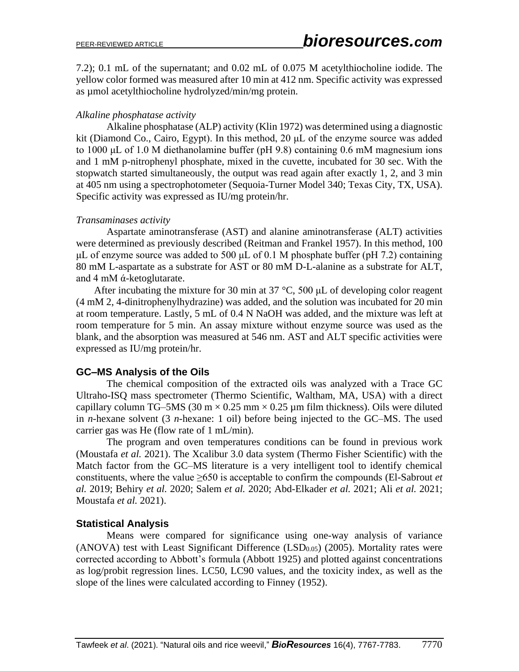7.2); 0.1 mL of the supernatant; and 0.02 mL of 0.075 M acetylthiocholine iodide. The yellow color formed was measured after 10 min at 412 nm. Specific activity was expressed as umol acetylthiocholine hydrolyzed/min/mg protein.

### *Alkaline phosphatase activity*

Alkaline phosphatase (ALP) activity (Klin 1972) was determined using a diagnostic kit (Diamond Co., Cairo, Egypt). In this method, 20 μL of the enzyme source was added to 1000 μL of 1.0 M diethanolamine buffer (pH 9.8) containing 0.6 mM magnesium ions and 1 mM p-nitrophenyl phosphate, mixed in the cuvette, incubated for 30 sec. With the stopwatch started simultaneously, the output was read again after exactly 1, 2, and 3 min at 405 nm using a spectrophotometer (Sequoia-Turner Model 340; Texas City, TX, USA). Specific activity was expressed as IU/mg protein/hr.

### *Transaminases activity*

Aspartate aminotransferase (AST) and alanine aminotransferase (ALT) activities were determined as previously described (Reitman and Frankel 1957). In this method, 100 μL of enzyme source was added to 500 μL of 0.1 M phosphate buffer (pH 7.2) containing 80 mM L-aspartate as a substrate for AST or 80 mM D-L-alanine as a substrate for ALT, and 4 mM ά-ketoglutarate.

After incubating the mixture for 30 min at 37 °C, 500 μL of developing color reagent (4 mM 2, 4-dinitrophenylhydrazine) was added, and the solution was incubated for 20 min at room temperature. Lastly, 5 mL of 0.4 N NaOH was added, and the mixture was left at room temperature for 5 min. An assay mixture without enzyme source was used as the blank, and the absorption was measured at 546 nm. AST and ALT specific activities were expressed as IU/mg protein/hr.

## **GC–MS Analysis of the Oils**

The chemical composition of the extracted oils was analyzed with a Trace GC Ultraho-ISQ mass spectrometer (Thermo Scientific, Waltham, MA, USA) with a direct capillary column TG–5MS (30 m  $\times$  0.25 mm  $\times$  0.25 µm film thickness). Oils were diluted in *n*-hexane solvent (3 *n*-hexane: 1 oil) before being injected to the GC–MS. The used carrier gas was He (flow rate of 1 mL/min).

The program and oven temperatures conditions can be found in previous work (Moustafa *et al.* 2021). The Xcalibur 3.0 data system (Thermo Fisher Scientific) with the Match factor from the GC–MS literature is a very intelligent tool to identify chemical constituents, where the value ≥650 is acceptable to confirm the compounds (El-Sabrout *et al.* 2019; Behiry *et al.* 2020; Salem *et al.* 2020; Abd-Elkader *et al.* 2021; Ali *et al.* 2021; Moustafa *et al.* 2021).

## **Statistical Analysis**

Means were compared for significance using one-way analysis of variance (ANOVA) test with Least Significant Difference  $(LSD<sub>0.05</sub>)$  (2005). Mortality rates were corrected according to Abbott's formula (Abbott 1925) and plotted against concentrations as log/probit regression lines. LC50, LC90 values, and the toxicity index, as well as the slope of the lines were calculated according to Finney (1952).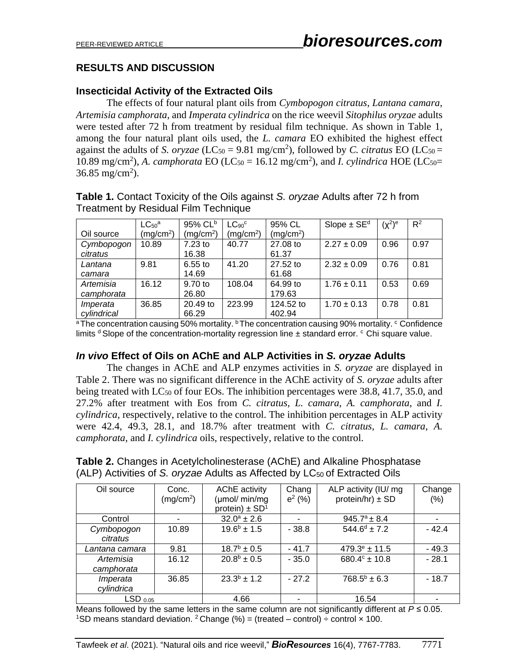## **RESULTS AND DISCUSSION**

## **Insecticidal Activity of the Extracted Oils**

The effects of four natural plant oils from *Cymbopogon citratus*, *Lantana camara*, *Artemisia camphorata*, and *Imperata cylindrica* on the rice weevil *Sitophilus oryzae* adults were tested after 72 h from treatment by residual film technique. As shown in Table 1, among the four natural plant oils used, the *L. camara* EO exhibited the highest effect against the adults of *S. oryzae* (LC<sub>50</sub> = 9.81 mg/cm<sup>2</sup>), followed by *C. citratus* EO (LC<sub>50</sub> = 10.89 mg/cm<sup>2</sup>), A. *camphorata* EO (LC<sub>50</sub> = 16.12 mg/cm<sup>2</sup>), and *I. cylindrica* HOE (LC<sub>50</sub> =  $36.85 \text{ mg/cm}^2$ ).

|             | LC <sub>50</sub> <sup>a</sup> | 95% CL <sup>b</sup>   | $LC90$ <sup>c</sup>   | 95% CL                | $Slope \pm SEd$ | $(\chi^2)$ <sup>e</sup> | $R^2$ |
|-------------|-------------------------------|-----------------------|-----------------------|-----------------------|-----------------|-------------------------|-------|
| Oil source  | (mq/cm <sup>2</sup> )         | (mq/cm <sup>2</sup> ) | (mq/cm <sup>2</sup> ) | (mq/cm <sup>2</sup> ) |                 |                         |       |
| Cymbopogon  | 10.89                         | 7.23 to               | 40.77                 | 27.08 to              | $2.27 \pm 0.09$ | 0.96                    | 0.97  |
| citratus    |                               | 16.38                 |                       | 61.37                 |                 |                         |       |
| Lantana     | 9.81                          | $6.55$ to             | 41.20                 | 27.52 to              | $2.32 \pm 0.09$ | 0.76                    | 0.81  |
| camara      |                               | 14.69                 |                       | 61.68                 |                 |                         |       |
| Artemisia   | 16.12                         | 9.70 to               | 108.04                | 64.99 to              | $1.76 \pm 0.11$ | 0.53                    | 0.69  |
| camphorata  |                               | 26.80                 |                       | 179.63                |                 |                         |       |
| Imperata    | 36.85                         | $20.49$ to            | 223.99                | 124.52 to             | $1.70 \pm 0.13$ | 0.78                    | 0.81  |
| cylindrical |                               | 66.29                 |                       | 402.94                |                 |                         |       |

**Table 1.** Contact Toxicity of the Oils against *S. oryzae* Adults after 72 h from Treatment by Residual Film Technique

<sup>a</sup>The concentration causing 50% mortality.  $\rm b$ The concentration causing 90% mortality.  $\rm c$  Confidence limits  $d$  Slope of the concentration-mortality regression line  $\pm$  standard error.  $c$  Chi square value.

### *In vivo* **Effect of Oils on AChE and ALP Activities in** *S. oryzae* **Adults**

The changes in AChE and ALP enzymes activities in *S. oryzae* are displayed in Table 2. There was no significant difference in the AChE activity of *S. oryzae* adults after being treated with LC<sub>50</sub> of four EOs. The inhibition percentages were 38.8, 41.7, 35.0, and 27.2% after treatment with Eos from *C. citratus*, *L. camara*, *A. camphorata*, and *I. cylindrica*, respectively, relative to the control. The inhibition percentages in ALP activity were 42.4, 49.3, 28.1, and 18.7% after treatment with *C. citratus*, *L. camara*, *A. camphorata*, and *I. cylindrica* oils, respectively, relative to the control.

| <b>Table 2.</b> Changes in Acetylcholinesterase (AChE) and Alkaline Phosphatase        |
|----------------------------------------------------------------------------------------|
| (ALP) Activities of S. oryzae Adults as Affected by LC <sub>50</sub> of Extracted Oils |

| Oil source            | Conc.                 | <b>AChE</b> activity           | Chang     | ALP activity (IU/ mg       | Change  |
|-----------------------|-----------------------|--------------------------------|-----------|----------------------------|---------|
|                       | (mg/cm <sup>2</sup> ) | (µmol/ min/mg                  | $e^2$ (%) | protein/hr) $\pm$ SD       | (% )    |
|                       |                       | protein) $\pm$ SD <sup>1</sup> |           |                            |         |
| Control               |                       | $32.0^{\circ} \pm 2.6$         | ۰         | $945.7^a \pm 8.4$          | ۰       |
| Cymbopogon            | 10.89                 | $19.6^b \pm 1.5$               | $-38.8$   | $544.6^{\circ}$ ± 7.2      | $-42.4$ |
| citratus              |                       |                                |           |                            |         |
| Lantana camara        | 9.81                  | $18.7^{\rm b} \pm 0.5$         | $-41.7$   | $479.3^e \pm 11.5$         | $-49.3$ |
| Artemisia             | 16.12                 | $20.8^b \pm 0.5$               | $-35.0$   | 680.4 $\textdegree$ ± 10.8 | $-28.1$ |
| camphorata            |                       |                                |           |                            |         |
| Imperata              | 36.85                 | $23.3^b \pm 1.2$               | $-27.2$   | $768.5^b \pm 6.3$          | $-18.7$ |
| cylindrica            |                       |                                |           |                            |         |
| $LSD$ <sub>0.05</sub> |                       | 4.66                           |           | 16.54                      |         |

Means followed by the same letters in the same column are not significantly different at  $P \le 0.05$ . <sup>1</sup>SD means standard deviation. <sup>2</sup> Change (%) = (treated – control) ÷ control  $\times$  100.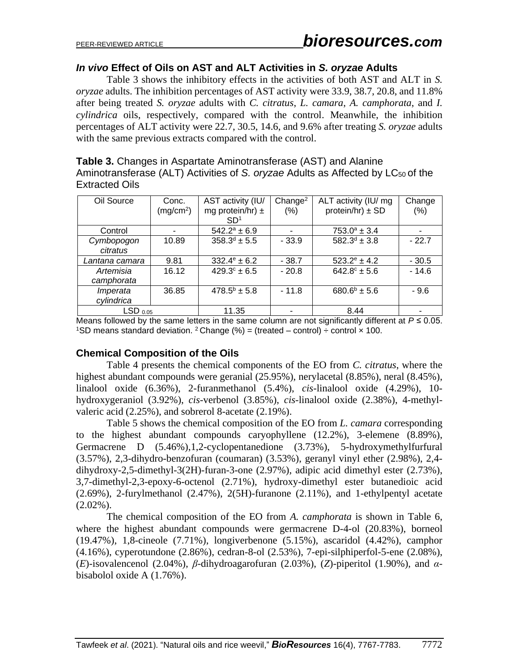#### *In vivo* **Effect of Oils on AST and ALT Activities in** *S. oryzae* **Adults**

**Table 3.** Changes in Aspartate Aminotransferase (AST) and Alanine

Table 3 shows the inhibitory effects in the activities of both AST and ALT in *S. oryzae* adults. The inhibition percentages of AST activity were 33.9, 38.7, 20.8, and 11.8% after being treated *S. oryzae* adults with *C. citratus*, *L. camara*, *A. camphorata*, and *I. cylindrica* oils, respectively, compared with the control. Meanwhile, the inhibition percentages of ALT activity were 22.7, 30.5, 14.6, and 9.6% after treating *S. oryzae* adults with the same previous extracts compared with the control.

| <b>Extracted Oils</b> |                                |                      |      | Aminotransferase (ALT) Activities of S. oryzae Adults as Affected by LC <sub>50</sub> of the               |               |
|-----------------------|--------------------------------|----------------------|------|------------------------------------------------------------------------------------------------------------|---------------|
| Oil Source            | Conc.<br>(mq/cm <sup>2</sup> ) | mg protein/hr) $\pm$ | (% ) | AST activity (IU/ $\vert$ Change <sup>2</sup> $\vert$ ALT activity (IU/ mg $\vert$<br>protein/hr) $\pm$ SD | Change<br>(%) |

|                         | ----<br>(mg/cm <sup>2</sup> ) | mg protein/hr) $\pm$<br>SD <sup>1</sup> | ------<br>(% ) | $1.421$ against $1.91$<br>protein/hr) $\pm$ SD | ------<br>(% ) |
|-------------------------|-------------------------------|-----------------------------------------|----------------|------------------------------------------------|----------------|
| Control                 |                               | $542.2^a \pm 6.9$                       |                | $753.0^a \pm 3.4$                              |                |
| Cymbopogon<br>citratus  | 10.89                         | $358.3^{d} \pm 5.5$                     | $-33.9$        | $582.3^d \pm 3.8$                              | $-22.7$        |
| Lantana camara          | 9.81                          | $332.4^e \pm 6.2$                       | $-38.7$        | $523.2^e \pm 4.2$                              | $-30.5$        |
| Artemisia<br>camphorata | 16.12                         | $429.3^{\circ} \pm 6.5$                 | $-20.8$        | $642.8^{\circ} \pm 5.6$                        | $-14.6$        |
| Imperata<br>cylindrica  | 36.85                         | $478.5^b \pm 5.8$                       | $-11.8$        | $680.6^b \pm 5.6$                              | $-9.6$         |
| $LSD$ $_{0.05}$         |                               | 11.35                                   |                | 8.44                                           |                |

Means followed by the same letters in the same column are not significantly different at  $P \le 0.05$ . <sup>1</sup>SD means standard deviation. <sup>2</sup> Change (%) = (treated – control) ÷ control  $\times$  100.

### **Chemical Composition of the Oils**

Table 4 presents the chemical components of the EO from *C. citratus*, where the highest abundant compounds were geranial (25.95%), nerylacetal (8.85%), neral (8.45%), linalool oxide (6.36%), 2-furanmethanol (5.4%), *cis*-linalool oxide (4.29%), 10 hydroxygeraniol (3.92%), *cis*-verbenol (3.85%), *cis*-linalool oxide (2.38%), 4-methylvaleric acid (2.25%), and sobrerol 8-acetate (2.19%).

Table 5 shows the chemical composition of the EO from *L. camara* corresponding to the highest abundant compounds caryophyllene (12.2%), 3-elemene (8.89%), Germacrene D (5.46%),1,2-cyclopentanedione (3.73%), 5-hydroxymethylfurfural (3.57%), 2,3-dihydro-benzofuran (coumaran) (3.53%), geranyl vinyl ether (2.98%), 2,4 dihydroxy-2,5-dimethyl-3(2H)-furan-3-one (2.97%), adipic acid dimethyl ester (2.73%), 3,7-dimethyl-2,3-epoxy-6-octenol (2.71%), hydroxy-dimethyl ester butanedioic acid (2.69%), 2-furylmethanol (2.47%), 2(5H)-furanone (2.11%), and 1-ethylpentyl acetate  $(2.02\%)$ .

The chemical composition of the EO from *A. camphorata* is shown in Table 6, where the highest abundant compounds were germacrene D-4-ol (20.83%), borneol (19.47%), 1,8-cineole (7.71%), longiverbenone (5.15%), ascaridol (4.42%), camphor (4.16%), cyperotundone (2.86%), cedran-8-ol (2.53%), 7-epi-silphiperfol-5-ene (2.08%), (*E*)-isovalencenol (2.04%), *β*-dihydroagarofuran (2.03%), (*Z*)-piperitol (1.90%), and *α*bisabolol oxide A (1.76%).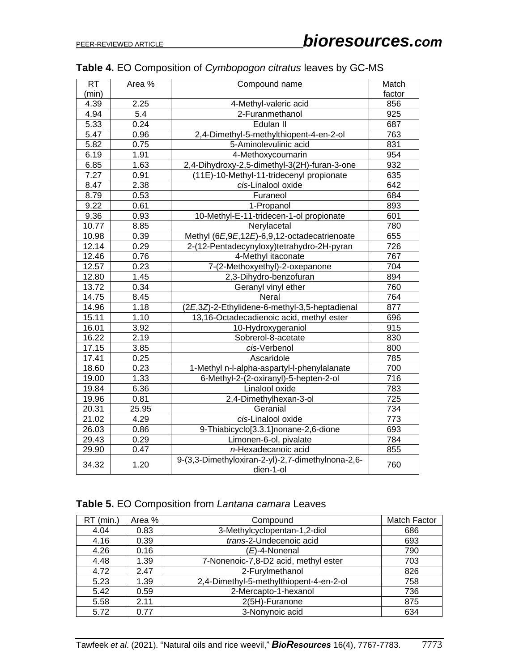| <b>RT</b> | Area % | Compound name                                                  | Match            |
|-----------|--------|----------------------------------------------------------------|------------------|
| (min)     |        |                                                                | factor           |
| 4.39      | 2.25   | 4-Methyl-valeric acid                                          | 856              |
| 4.94      | 5.4    | 2-Furanmethanol                                                | $\overline{925}$ |
| 5.33      | 0.24   | Edulan II                                                      | 687              |
| 5.47      | 0.96   | 2,4-Dimethyl-5-methylthiopent-4-en-2-ol                        | 763              |
| 5.82      | 0.75   | 5-Aminolevulinic acid                                          | 831              |
| 6.19      | 1.91   | 4-Methoxycoumarin                                              | 954              |
| 6.85      | 1.63   | 2,4-Dihydroxy-2,5-dimethyl-3(2H)-furan-3-one                   | 932              |
| 7.27      | 0.91   | (11E)-10-Methyl-11-tridecenyl propionate                       | 635              |
| 8.47      | 2.38   | cis-Linalool oxide                                             | 642              |
| 8.79      | 0.53   | Furaneol                                                       | 684              |
| 9.22      | 0.61   | 1-Propanol                                                     | 893              |
| 9.36      | 0.93   | 10-Methyl-E-11-tridecen-1-ol propionate                        | 601              |
| 10.77     | 8.85   | Nerylacetal                                                    | 780              |
| 10.98     | 0.39   | Methyl (6E,9E,12E)-6,9,12-octadecatrienoate                    | 655              |
| 12.14     | 0.29   | 2-(12-Pentadecynyloxy)tetrahydro-2H-pyran                      | 726              |
| 12.46     | 0.76   | 4-Methyl itaconate                                             | 767              |
| 12.57     | 0.23   | 7-(2-Methoxyethyl)-2-oxepanone                                 | 704              |
| 12.80     | 1.45   | 2,3-Dihydro-benzofuran                                         | 894              |
| 13.72     | 0.34   | Geranyl vinyl ether                                            | 760              |
| 14.75     | 8.45   | Neral                                                          | 764              |
| 14.96     | 1.18   | (2E,3Z)-2-Ethylidene-6-methyl-3,5-heptadienal                  | 877              |
| 15.11     | 1.10   | 13,16-Octadecadienoic acid, methyl ester                       | 696              |
| 16.01     | 3.92   | 10-Hydroxygeraniol                                             | 915              |
| 16.22     | 2.19   | Sobrerol-8-acetate                                             | 830              |
| 17.15     | 3.85   | cis-Verbenol                                                   | 800              |
| 17.41     | 0.25   | Ascaridole                                                     | 785              |
| 18.60     | 0.23   | 1-Methyl n-l-alpha-aspartyl-l-phenylalanate                    | 700              |
| 19.00     | 1.33   | 6-Methyl-2-(2-oxiranyl)-5-hepten-2-ol                          | 716              |
| 19.84     | 6.36   | Linalool oxide                                                 | 783              |
| 19.96     | 0.81   | 2,4-Dimethylhexan-3-ol                                         | $\overline{725}$ |
| 20.31     | 25.95  | Geranial                                                       | 734              |
| 21.02     | 4.29   | cis-Linalool oxide                                             | 773              |
| 26.03     | 0.86   | 9-Thiabicyclo[3.3.1]nonane-2,6-dione                           | 693              |
| 29.43     | 0.29   | Limonen-6-ol, pivalate                                         | 784              |
| 29.90     | 0.47   | n-Hexadecanoic acid                                            | 855              |
| 34.32     | 1.20   | 9-(3,3-Dimethyloxiran-2-yl)-2,7-dimethylnona-2,6-<br>dien-1-ol | 760              |

## **Table 4.** EO Composition of *Cymbopogon citratus* leaves by GC-MS

## **Table 5.** EO Composition from *Lantana camara* Leaves

| $RT$ (min.) | Area % | Compound                                | <b>Match Factor</b> |
|-------------|--------|-----------------------------------------|---------------------|
| 4.04        | 0.83   | 3-Methylcyclopentan-1,2-diol            | 686                 |
| 4.16        | 0.39   | trans-2-Undecenoic acid                 | 693                 |
| 4.26        | 0.16   | (E)-4-Nonenal                           | 790                 |
| 4.48        | 1.39   | 7-Nonenoic-7,8-D2 acid, methyl ester    | 703                 |
| 4.72        | 2.47   | 2-Furylmethanol                         | 826                 |
| 5.23        | 1.39   | 2,4-Dimethyl-5-methylthiopent-4-en-2-ol | 758                 |
| 5.42        | 0.59   | 2-Mercapto-1-hexanol                    | 736                 |
| 5.58        | 2.11   | 2(5H)-Furanone                          | 875                 |
| 5.72        | 0.77   | 3-Nonynoic acid                         | 634                 |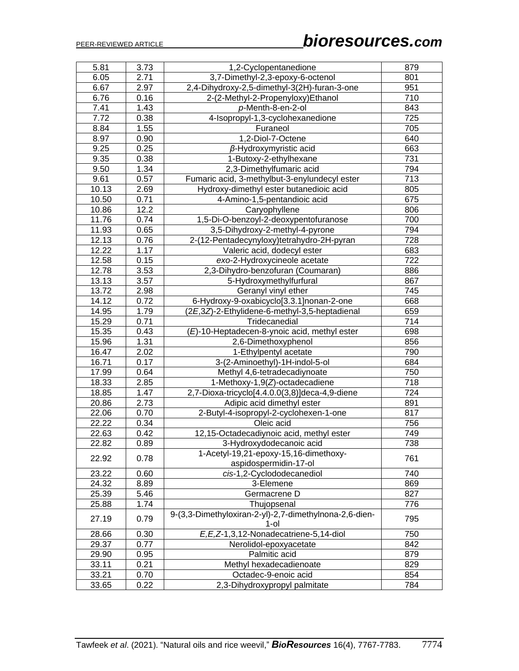| 5.81  | 3.73 | 1,2-Cyclopentanedione                                             | 879 |
|-------|------|-------------------------------------------------------------------|-----|
| 6.05  | 2.71 | 3,7-Dimethyl-2,3-epoxy-6-octenol                                  | 801 |
| 6.67  | 2.97 | 2,4-Dihydroxy-2,5-dimethyl-3(2H)-furan-3-one                      | 951 |
| 6.76  | 0.16 | 2-(2-Methyl-2-Propenyloxy)Ethanol                                 | 710 |
| 7.41  | 1.43 | p-Menth-8-en-2-ol                                                 | 843 |
| 7.72  | 0.38 | 4-Isopropyl-1,3-cyclohexanedione                                  | 725 |
| 8.84  | 1.55 | Furaneol                                                          | 705 |
| 8.97  | 0.90 | 1,2-Diol-7-Octene                                                 | 640 |
| 9.25  | 0.25 | $\beta$ -Hydroxymyristic acid                                     | 663 |
| 9.35  | 0.38 | 1-Butoxy-2-ethylhexane                                            | 731 |
| 9.50  | 1.34 | 2,3-Dimethylfumaric acid                                          | 794 |
| 9.61  | 0.57 | Fumaric acid, 3-methylbut-3-enylundecyl ester                     | 713 |
| 10.13 | 2.69 | Hydroxy-dimethyl ester butanedioic acid                           | 805 |
| 10.50 | 0.71 | 4-Amino-1,5-pentandioic acid                                      | 675 |
| 10.86 | 12.2 | Caryophyllene                                                     | 806 |
| 11.76 | 0.74 | 1,5-Di-O-benzoyl-2-deoxypentofuranose                             | 700 |
| 11.93 | 0.65 | 3,5-Dihydroxy-2-methyl-4-pyrone                                   | 794 |
| 12.13 | 0.76 | 2-(12-Pentadecynyloxy)tetrahydro-2H-pyran                         | 728 |
| 12.22 | 1.17 | Valeric acid, dodecyl ester                                       | 683 |
| 12.58 | 0.15 | exo-2-Hydroxycineole acetate                                      | 722 |
| 12.78 | 3.53 | 2,3-Dihydro-benzofuran (Coumaran)                                 | 886 |
| 13.13 | 3.57 | 5-Hydroxymethylfurfural                                           | 867 |
| 13.72 | 2.98 | Geranyl vinyl ether                                               | 745 |
| 14.12 | 0.72 | 6-Hydroxy-9-oxabicyclo[3.3.1]nonan-2-one                          | 668 |
| 14.95 | 1.79 | (2E,3Z)-2-Ethylidene-6-methyl-3,5-heptadienal                     | 659 |
| 15.29 | 0.71 | Tridecanedial                                                     | 714 |
| 15.35 | 0.43 | (E)-10-Heptadecen-8-ynoic acid, methyl ester                      | 698 |
| 15.96 | 1.31 | 2,6-Dimethoxyphenol                                               | 856 |
| 16.47 | 2.02 | 1-Ethylpentyl acetate                                             | 790 |
| 16.71 | 0.17 | 3-(2-Aminoethyl)-1H-indol-5-ol                                    | 684 |
| 17.99 | 0.64 | Methyl 4,6-tetradecadiynoate                                      | 750 |
| 18.33 | 2.85 | 1-Methoxy-1,9(Z)-octadecadiene                                    | 718 |
| 18.85 | 1.47 | 2,7-Dioxa-tricyclo[4.4.0.0(3,8)]deca-4,9-diene                    | 724 |
| 20.86 | 2.73 | Adipic acid dimethyl ester                                        | 891 |
| 22.06 | 0.70 | 2-Butyl-4-isopropyl-2-cyclohexen-1-one                            | 817 |
| 22.22 | 0.34 | Oleic acid                                                        | 756 |
| 22.63 | 0.42 | 12,15-Octadecadiynoic acid, methyl ester                          | 749 |
| 22.82 | 0.89 | 3-Hydroxydodecanoic acid                                          | 738 |
|       |      | 1-Acetyl-19,21-epoxy-15,16-dimethoxy-                             |     |
| 22.92 | 0.78 | aspidospermidin-17-ol                                             | 761 |
| 23.22 | 0.60 | cis-1,2-Cyclododecanediol                                         | 740 |
| 24.32 | 8.89 | 3-Elemene                                                         | 869 |
| 25.39 | 5.46 | Germacrene D                                                      | 827 |
| 25.88 | 1.74 | Thujopsenal                                                       | 776 |
| 27.19 | 0.79 | 9-(3,3-Dimethyloxiran-2-yl)-2,7-dimethylnona-2,6-dien-<br>$1$ -ol | 795 |
| 28.66 | 0.30 | E, E, Z-1, 3, 12-Nonadecatriene-5, 14-diol                        | 750 |
| 29.37 | 0.77 | Nerolidol-epoxyacetate                                            | 842 |
| 29.90 | 0.95 | Palmitic acid                                                     | 879 |
| 33.11 | 0.21 | Methyl hexadecadienoate                                           | 829 |
| 33.21 | 0.70 | Octadec-9-enoic acid                                              | 854 |
| 33.65 | 0.22 | 2,3-Dihydroxypropyl palmitate                                     | 784 |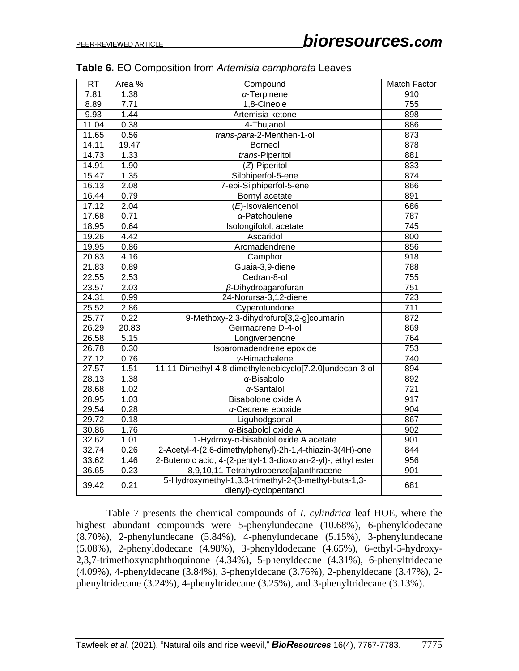| <b>RT</b> | Area % | Compound                                                                       | Match Factor |
|-----------|--------|--------------------------------------------------------------------------------|--------------|
| 7.81      | 1.38   | $\alpha$ -Terpinene                                                            | 910          |
| 8.89      | 7.71   | 1,8-Cineole                                                                    | 755          |
| 9.93      | 1.44   | Artemisia ketone                                                               | 898          |
| 11.04     | 0.38   | 4-Thujanol                                                                     | 886          |
| 11.65     | 0.56   | trans-para-2-Menthen-1-ol                                                      | 873          |
| 14.11     | 19.47  | <b>Borneol</b>                                                                 | 878          |
| 14.73     | 1.33   | trans-Piperitol                                                                | 881          |
| 14.91     | 1.90   | (Z)-Piperitol                                                                  | 833          |
| 15.47     | 1.35   | Silphiperfol-5-ene                                                             | 874          |
| 16.13     | 2.08   | 7-epi-Silphiperfol-5-ene                                                       | 866          |
| 16.44     | 0.79   | Bornyl acetate                                                                 | 891          |
| 17.12     | 2.04   | (E)-Isovalencenol                                                              | 686          |
| 17.68     | 0.71   | $\alpha$ -Patchoulene                                                          | 787          |
| 18.95     | 0.64   | Isolongifolol, acetate                                                         | 745          |
| 19.26     | 4.42   | Ascaridol                                                                      | 800          |
| 19.95     | 0.86   | Aromadendrene                                                                  | 856          |
| 20.83     | 4.16   | Camphor                                                                        | 918          |
| 21.83     | 0.89   | Guaia-3,9-diene                                                                | 788          |
| 22.55     | 2.53   | Cedran-8-ol                                                                    | 755          |
| 23.57     | 2.03   | $\beta$ -Dihydroagarofuran                                                     | 751          |
| 24.31     | 0.99   | 24-Norursa-3,12-diene                                                          | 723          |
| 25.52     | 2.86   | Cyperotundone                                                                  | 711          |
| 25.77     | 0.22   | 9-Methoxy-2,3-dihydrofuro[3,2-g]coumarin                                       | 872          |
| 26.29     | 20.83  | Germacrene D-4-ol                                                              | 869          |
| 26.58     | 5.15   | Longiverbenone                                                                 | 764          |
| 26.78     | 0.30   | Isoaromadendrene epoxide                                                       | 753          |
| 27.12     | 0.76   | y-Himachalene                                                                  | 740          |
| 27.57     | 1.51   | 11,11-Dimethyl-4,8-dimethylenebicyclo[7.2.0]undecan-3-ol                       | 894          |
| 28.13     | 1.38   | $\alpha$ -Bisabolol                                                            | 892          |
| 28.68     | 1.02   | $\alpha$ -Santalol                                                             | 721          |
| 28.95     | 1.03   | Bisabolone oxide A                                                             | 917          |
| 29.54     | 0.28   | a-Cedrene epoxide                                                              | 904          |
| 29.72     | 0.18   | Liguhodgsonal                                                                  | 867          |
| 30.86     | 1.76   | a-Bisabolol oxide A                                                            | 902          |
| 32.62     | 1.01   | 1-Hydroxy-a-bisabolol oxide A acetate                                          | 901          |
| 32.74     | 0.26   | 2-Acetyl-4-(2,6-dimethylphenyl)-2h-1,4-thiazin-3(4H)-one                       | 844          |
| 33.62     | 1.46   | 2-Butenoic acid, 4-(2-pentyl-1,3-dioxolan-2-yl)-, ethyl ester                  | 956          |
| 36.65     | 0.23   | 8,9,10,11-Tetrahydrobenzo[a]anthracene                                         | 901          |
| 39.42     | 0.21   | 5-Hydroxymethyl-1,3,3-trimethyl-2-(3-methyl-buta-1,3-<br>dienyl)-cyclopentanol | 681          |

#### **Table 6.** EO Composition from *Artemisia camphorata* Leaves

Table 7 presents the chemical compounds of *I. cylindrica* leaf HOE, where the highest abundant compounds were 5-phenylundecane (10.68%), 6-phenyldodecane (8.70%), 2-phenylundecane (5.84%), 4-phenylundecane (5.15%), 3-phenylundecane (5.08%), 2-phenyldodecane (4.98%), 3-phenyldodecane (4.65%), 6-ethyl-5-hydroxy-2,3,7-trimethoxynaphthoquinone (4.34%), 5-phenyldecane (4.31%), 6-phenyltridecane (4.09%), 4-phenyldecane (3.84%), 3-phenyldecane (3.76%), 2-phenyldecane (3.47%), 2 phenyltridecane (3.24%), 4-phenyltridecane (3.25%), and 3-phenyltridecane (3.13%).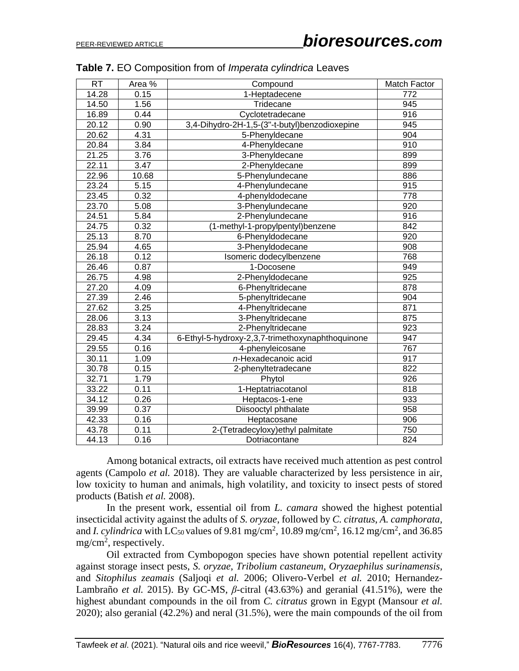| <b>RT</b> | Area % | Compound                                         | Match Factor |
|-----------|--------|--------------------------------------------------|--------------|
| 14.28     | 0.15   | 1-Heptadecene                                    | 772          |
| 14.50     | 1.56   | Tridecane                                        | 945          |
| 16.89     | 0.44   | Cyclotetradecane                                 | 916          |
| 20.12     | 0.90   | 3,4-Dihydro-2H-1,5-(3"-t-butyl)benzodioxepine    | 945          |
| 20.62     | 4.31   | 5-Phenyldecane                                   | 904          |
| 20.84     | 3.84   | 4-Phenyldecane                                   | 910          |
| 21.25     | 3.76   | 3-Phenyldecane                                   | 899          |
| 22.11     | 3.47   | 2-Phenyldecane                                   | 899          |
| 22.96     | 10.68  | 5-Phenylundecane                                 | 886          |
| 23.24     | 5.15   | 4-Phenylundecane                                 | 915          |
| 23.45     | 0.32   | 4-phenyldodecane                                 | 778          |
| 23.70     | 5.08   | 3-Phenylundecane                                 | 920          |
| 24.51     | 5.84   | 2-Phenylundecane                                 | 916          |
| 24.75     | 0.32   | (1-methyl-1-propylpentyl)benzene                 | 842          |
| 25.13     | 8.70   | 6-Phenyldodecane                                 | 920          |
| 25.94     | 4.65   | 3-Phenyldodecane                                 | 908          |
| 26.18     | 0.12   | Isomeric dodecylbenzene                          | 768          |
| 26.46     | 0.87   | 1-Docosene                                       | 949          |
| 26.75     | 4.98   | 2-Phenyldodecane                                 | 925          |
| 27.20     | 4.09   | 6-Phenyltridecane                                | 878          |
| 27.39     | 2.46   | 5-phenyltridecane                                | 904          |
| 27.62     | 3.25   | 4-Phenyltridecane                                | 871          |
| 28.06     | 3.13   | 3-Phenyltridecane                                | 875          |
| 28.83     | 3.24   | 2-Phenyltridecane                                | 923          |
| 29.45     | 4.34   | 6-Ethyl-5-hydroxy-2,3,7-trimethoxynaphthoquinone | 947          |
| 29.55     | 0.16   | 4-phenyleicosane                                 | 767          |
| 30.11     | 1.09   | n-Hexadecanoic acid                              | 917          |
| 30.78     | 0.15   | 2-phenyltetradecane                              | 822          |
| 32.71     | 1.79   | Phytol                                           | 926          |
| 33.22     | 0.11   | 1-Heptatriacotanol                               | 818          |
| 34.12     | 0.26   | Heptacos-1-ene                                   | 933          |
| 39.99     | 0.37   | Diisooctyl phthalate                             | 958          |
| 42.33     | 0.16   | Heptacosane                                      | 906          |
| 43.78     | 0.11   | 2-(Tetradecyloxy) ethyl palmitate                | 750          |
| 44.13     | 0.16   | Dotriacontane                                    | 824          |

| Table 7. EO Composition from of Imperata cylindrica Leaves |  |
|------------------------------------------------------------|--|
|------------------------------------------------------------|--|

Among botanical extracts, oil extracts have received much attention as pest control agents (Campolo *et al.* 2018). They are valuable characterized by less persistence in air, low toxicity to human and animals, high volatility, and toxicity to insect pests of stored products (Batish *et al.* 2008).

In the present work, essential oil from *L. camara* showed the highest potential insecticidal activity against the adults of *S. oryzae*, followed by *C. citratus*, *A. camphorata*, and *I. cylindrica* with LC<sub>50</sub> values of 9.81 mg/cm<sup>2</sup>, 10.89 mg/cm<sup>2</sup>, 16.12 mg/cm<sup>2</sup>, and 36.85  $mg/cm^2$ , respectively.

Oil extracted from Cymbopogon species have shown potential repellent activity against storage insect pests, *S. oryzae*, *Tribolium castaneum*, *Oryzaephilus surinamensis*, and *Sitophilus zeamais* (Saljoqi *et al.* 2006; Olivero-Verbel *et al.* 2010; Hernandez-Lambraño *et al.* 2015). By GC-MS, *β*-citral (43.63%) and geranial (41.51%), were the highest abundant compounds in the oil from *C. citratus* grown in Egypt (Mansour *et al.* 2020); also geranial (42.2%) and neral (31.5%), were the main compounds of the oil from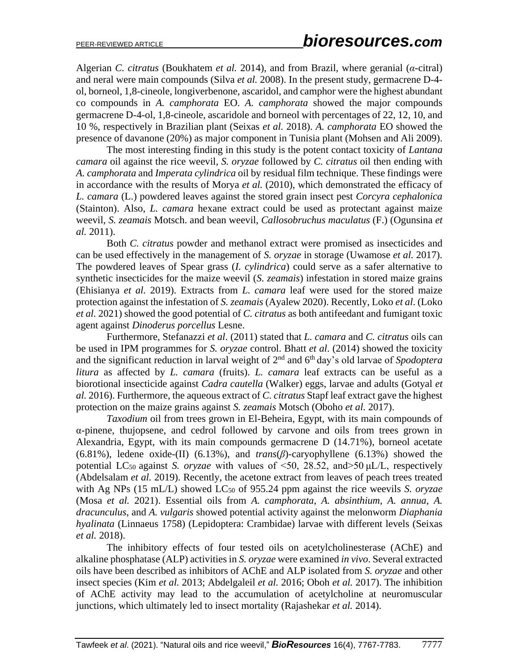Algerian *C. citratus* (Boukhatem *et al.* 2014), and from Brazil, where geranial (*α*-citral) and neral were main compounds (Silva *et al.* 2008). In the present study, germacrene D-4 ol, borneol, 1,8-cineole, longiverbenone, ascaridol, and camphor were the highest abundant co compounds in *A. camphorata* EO. *A. camphorata* showed the major compounds germacrene D-4-ol, 1,8-cineole, ascaridole and borneol with percentages of 22, 12, 10, and 10 %, respectively in Brazilian plant (Seixas *et al.* 2018). *A. camphorata* EO showed the presence of davanone (20%) as major component in Tunisia plant (Mohsen and Ali 2009).

The most interesting finding in this study is the potent contact toxicity of *Lantana camara* oil against the rice weevil*, S. oryzae* followed by *C. citratus* oil then ending with *A. camphorata* and *Imperata cylindrica* oil by residual film technique. These findings were in accordance with the results of Morya *et al.* (2010), which demonstrated the efficacy of *L. camara* (L.) powdered leaves against the stored grain insect pest *Corcyra cephalonica*  (Stainton). Also, *L. camara* hexane extract could be used as protectant against maize weevil, *S. zeamais* Motsch. and bean weevil, *Callosobruchus maculatus* (F.) (Ogunsina *et al.* 2011).

Both *C. citratus* powder and methanol extract were promised as insecticides and can be used effectively in the management of *S. oryzae* in storage (Uwamose *et al.* 2017). The powdered leaves of Spear grass (*I. cylindrica*) could serve as a safer alternative to synthetic insecticides for the maize weevil (*S. zeamais*) infestation in stored maize grains (Ehisianya *et al.* 2019). Extracts from *L. camara* leaf were used for the stored maize protection against the infestation of *S. zeamais* (Ayalew 2020). Recently, Loko *et al*. (Loko *et al.* 2021) showed the good potential of *C. citratus* as both antifeedant and fumigant toxic agent against *Dinoderus porcellus* Lesne.

Furthermore, Stefanazzi *et al*. (2011) stated that *L. camara* and *C. citratus* oils can be used in IPM programmes for *S. oryzae* control. Bhatt *et al*. (2014) showed the toxicity and the significant reduction in larval weight of 2nd and 6th day's old larvae of *Spodoptera litura* as affected by *L. camara* (fruits). *L. camara* leaf extracts can be useful as a biorotional insecticide against *Cadra cautella* (Walker) eggs, larvae and adults (Gotyal *et al.* 2016). Furthermore, the aqueous extract of *C. citratus* Stapf leaf extract gave the highest protection on the maize grains against *S. zeamais* Motsch (Oboho *et al.* 2017).

*Taxodium* oil from trees grown in El-Beheira, Egypt, with its main compounds of α-pinene, thujopsene, and cedrol followed by carvone and oils from trees grown in Alexandria, Egypt, with its main compounds germacrene D (14.71%), borneol acetate (6.81%), ledene oxide-(II) (6.13%), and *trans*(*β*)-caryophyllene (6.13%) showed the potential LC50 against *S. oryzae* with values of <50, 28.52, and>50 μL/L, respectively (Abdelsalam *et al.* 2019). Recently, the acetone extract from leaves of peach trees treated with Ag NPs (15 mL/L) showed LC<sub>50</sub> of 955.24 ppm against the rice weevils *S. oryzae* (Mosa *et al.* 2021). Essential oils from *A. camphorata*, *A. absinthium*, *A. annua*, *A. dracunculus*, and *A. vulgaris* showed potential activity against the melonworm *Diaphania hyalinata* (Linnaeus 1758) (Lepidoptera: Crambidae) larvae with different levels (Seixas *et al.* 2018).

The inhibitory effects of four tested oils on acetylcholinesterase (AChE) and alkaline phosphatase (ALP) activities in *S. oryzae* were examined *in vivo*. Several extracted oils have been described as inhibitors of AChE and ALP isolated from *S. oryzae* and other insect species (Kim *et al.* 2013; Abdelgaleil *et al.* 2016; Oboh *et al.* 2017). The inhibition of AChE activity may lead to the accumulation of acetylcholine at neuromuscular junctions, which ultimately led to insect mortality (Rajashekar *et al.* 2014).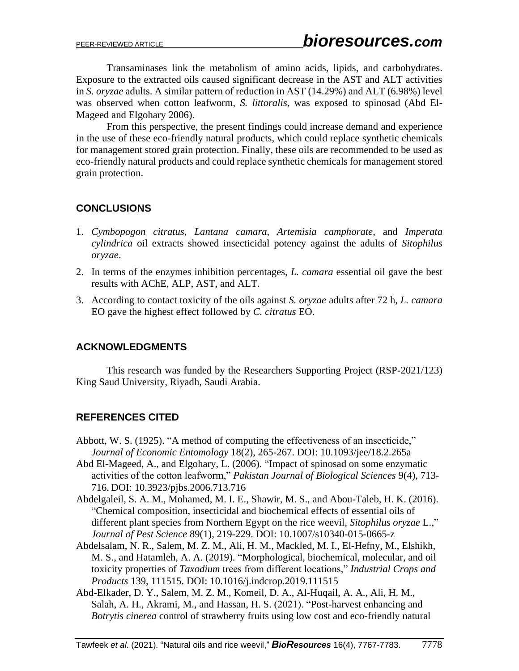Transaminases link the metabolism of amino acids, lipids, and carbohydrates. Exposure to the extracted oils caused significant decrease in the AST and ALT activities in *S. oryzae* adults. A similar pattern of reduction in AST (14.29%) and ALT (6.98%) level was observed when cotton leafworm, *S. littoralis*, was exposed to spinosad (Abd El-Mageed and Elgohary 2006).

From this perspective, the present findings could increase demand and experience in the use of these eco-friendly natural products, which could replace synthetic chemicals for management stored grain protection. Finally, these oils are recommended to be used as eco-friendly natural products and could replace synthetic chemicals for management stored grain protection.

## **CONCLUSIONS**

- 1. *Cymbopogon citratus*, *Lantana camara*, *Artemisia camphorate*, and *Imperata cylindrica* oil extracts showed insecticidal potency against the adults of *Sitophilus oryzae*.
- 2. In terms of the enzymes inhibition percentages, *L. camara* essential oil gave the best results with AChE, ALP, AST, and ALT.
- 3. According to contact toxicity of the oils against *S. oryzae* adults after 72 h, *L. camara* EO gave the highest effect followed by *C. citratus* EO.

## **ACKNOWLEDGMENTS**

This research was funded by the Researchers Supporting Project (RSP-2021/123) King Saud University, Riyadh, Saudi Arabia.

## **REFERENCES CITED**

- Abbott, W. S. (1925). "A method of computing the effectiveness of an insecticide," *Journal of Economic Entomology* 18(2), 265-267. DOI: 10.1093/jee/18.2.265a
- Abd El-Mageed, A., and Elgohary, L. (2006). "Impact of spinosad on some enzymatic activities of the cotton leafworm," *Pakistan Journal of Biological Sciences* 9(4), 713- 716. DOI: 10.3923/pjbs.2006.713.716
- Abdelgaleil, S. A. M., Mohamed, M. I. E., Shawir, M. S., and Abou-Taleb, H. K. (2016). "Chemical composition, insecticidal and biochemical effects of essential oils of different plant species from Northern Egypt on the rice weevil, *Sitophilus oryzae* L.," *Journal of Pest Science* 89(1), 219-229. DOI: 10.1007/s10340-015-0665-z
- Abdelsalam, N. R., Salem, M. Z. M., Ali, H. M., Mackled, M. I., El-Hefny, M., Elshikh, M. S., and Hatamleh, A. A. (2019). "Morphological, biochemical, molecular, and oil toxicity properties of *Taxodium* trees from different locations," *Industrial Crops and Products* 139, 111515. DOI: 10.1016/j.indcrop.2019.111515
- Abd-Elkader, D. Y., Salem, M. Z. M., Komeil, D. A., Al-Huqail, A. A., Ali, H. M., Salah, A. H., Akrami, M., and Hassan, H. S. (2021). "Post-harvest enhancing and *Botrytis cinerea* control of strawberry fruits using low cost and eco-friendly natural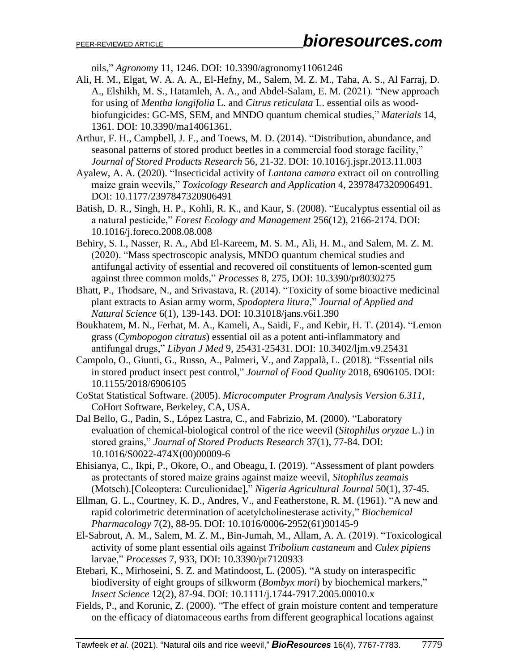oils," *Agronomy* 11, 1246. DOI: 10.3390/agronomy11061246

- Ali, H. M., Elgat, W. A. A. A., El-Hefny, M., Salem, M. Z. M., Taha, A. S., Al Farraj, D. A., Elshikh, M. S., Hatamleh, A. A., and Abdel-Salam, E. M. (2021). "New approach for using of *Mentha longifolia* L. and *Citrus reticulata* L. essential oils as woodbiofungicides: GC-MS, SEM, and MNDO quantum chemical studies," *Materials* 14, 1361. DOI: 10.3390/ma14061361.
- Arthur, F. H., Campbell, J. F., and Toews, M. D. (2014). "Distribution, abundance, and seasonal patterns of stored product beetles in a commercial food storage facility," *Journal of Stored Products Research* 56, 21-32. DOI: 10.1016/j.jspr.2013.11.003
- Ayalew, A. A. (2020). "Insecticidal activity of *Lantana camara* extract oil on controlling maize grain weevils," *Toxicology Research and Application* 4, 2397847320906491. DOI: 10.1177/2397847320906491
- Batish, D. R., Singh, H. P., Kohli, R. K., and Kaur, S. (2008). "Eucalyptus essential oil as a natural pesticide," *Forest Ecology and Management* 256(12), 2166-2174. DOI: 10.1016/j.foreco.2008.08.008
- Behiry, S. I., Nasser, R. A., Abd El-Kareem, M. S. M., Ali, H. M., and Salem, M. Z. M. (2020). "Mass spectroscopic analysis, MNDO quantum chemical studies and antifungal activity of essential and recovered oil constituents of lemon-scented gum against three common molds," *Processes* 8, 275, DOI: 10.3390/pr8030275
- Bhatt, P., Thodsare, N., and Srivastava, R. (2014). "Toxicity of some bioactive medicinal plant extracts to Asian army worm, *Spodoptera litura*," *Journal of Applied and Natural Science* 6(1), 139-143. DOI: 10.31018/jans.v6i1.390
- Boukhatem, M. N., Ferhat, M. A., Kameli, A., Saidi, F., and Kebir, H. T. (2014). "Lemon grass (*Cymbopogon citratus*) essential oil as a potent anti-inflammatory and antifungal drugs," *Libyan J Med* 9, 25431-25431. DOI: 10.3402/ljm.v9.25431
- Campolo, O., Giunti, G., Russo, A., Palmeri, V., and Zappalà, L. (2018). "Essential oils in stored product insect pest control," *Journal of Food Quality* 2018, 6906105. DOI: 10.1155/2018/6906105
- CoStat Statistical Software. (2005). *Microcomputer Program Analysis Version 6.311*, CoHort Software, Berkeley, CA, USA.
- Dal Bello, G., Padin, S., López Lastra, C., and Fabrizio, M. (2000). "Laboratory evaluation of chemical-biological control of the rice weevil (*Sitophilus oryzae* L.) in stored grains," *Journal of Stored Products Research* 37(1), 77-84. DOI: 10.1016/S0022-474X(00)00009-6
- Ehisianya, C., Ikpi, P., Okore, O., and Obeagu, I. (2019). "Assessment of plant powders as protectants of stored maize grains against maize weevil, *Sitophilus zeamais* (Motsch).[Coleoptera: Curculionidae]," *Nigeria Agricultural Journal* 50(1), 37-45.
- Ellman, G. L., Courtney, K. D., Andres, V., and Featherstone, R. M. (1961). "A new and rapid colorimetric determination of acetylcholinesterase activity," *Biochemical Pharmacology* 7(2), 88-95. DOI: 10.1016/0006-2952(61)90145-9
- El-Sabrout, A. M., Salem, M. Z. M., Bin-Jumah, M., Allam, A. A. (2019). "Toxicological activity of some plant essential oils against *Tribolium castaneum* and *Culex pipiens* larvae," *Processes* 7, 933, DOI: 10.3390/pr7120933
- Etebari, K., Mirhoseini, S. Z. and Matindoost, L. (2005). "A study on interaspecific biodiversity of eight groups of silkworm (*Bombyx mori*) by biochemical markers," *Insect Science* 12(2), 87-94. DOI: 10.1111/j.1744-7917.2005.00010.x
- Fields, P., and Korunic, Z. (2000). "The effect of grain moisture content and temperature on the efficacy of diatomaceous earths from different geographical locations against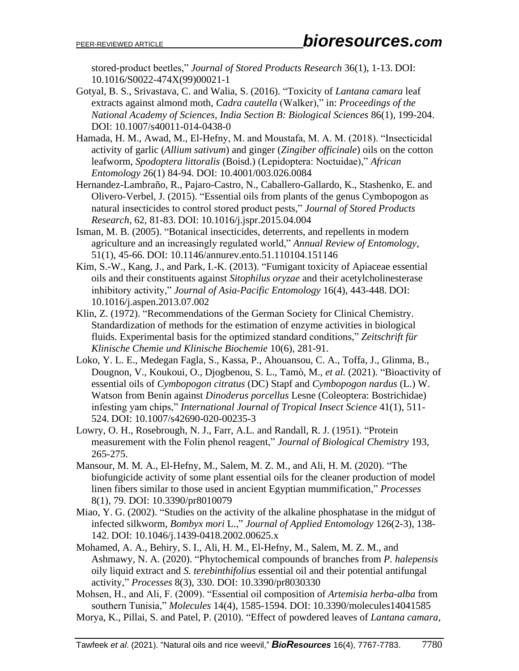stored-product beetles," *Journal of Stored Products Research* 36(1), 1-13. DOI: 10.1016/S0022-474X(99)00021-1

- Gotyal, B. S., Srivastava, C. and Walia, S. (2016). "Toxicity of *Lantana camara* leaf extracts against almond moth, *Cadra cautella* (Walker)," in: *Proceedings of the National Academy of Sciences, India Section B: Biological Sciences* 86(1), 199-204. DOI: 10.1007/s40011-014-0438-0
- Hamada, H. M., Awad, M., El-Hefny, M. and Moustafa, M. A. M. (2018). "Insecticidal activity of garlic (*Allium sativum*) and ginger (*Zingiber officinale*) oils on the cotton leafworm, *Spodoptera littoralis* (Boisd.) (Lepidoptera: Noctuidae)," *African Entomology* 26(1) 84-94. DOI: 10.4001/003.026.0084
- Hernandez-Lambraño, R., Pajaro-Castro, N., Caballero-Gallardo, K., Stashenko, E. and Olivero-Verbel, J. (2015). "Essential oils from plants of the genus Cymbopogon as natural insecticides to control stored product pests," *Journal of Stored Products Research*, 62, 81-83. DOI: 10.1016/j.jspr.2015.04.004
- Isman, M. B. (2005). "Botanical insecticides, deterrents, and repellents in modern agriculture and an increasingly regulated world," *Annual Review of Entomology*, 51(1), 45-66. DOI: 10.1146/annurev.ento.51.110104.151146
- Kim, S.-W., Kang, J., and Park, I.-K. (2013). "Fumigant toxicity of Apiaceae essential oils and their constituents against *Sitophilus oryzae* and their acetylcholinesterase inhibitory activity," *Journal of Asia-Pacific Entomology* 16(4), 443-448. DOI: 10.1016/j.aspen.2013.07.002
- Klin, Z. (1972). "Recommendations of the German Society for Clinical Chemistry. Standardization of methods for the estimation of enzyme activities in biological fluids. Experimental basis for the optimized standard conditions," *Zeitschrift für Klinische Chemie und Klinische Biochemie* 10(6), 281-91.
- Loko, Y. L. E., Medegan Fagla, S., Kassa, P., Ahouansou, C. A., Toffa, J., Glinma, B., Dougnon, V., Koukoui, O., Djogbenou, S. L., Tamò, M., *et al.* (2021). "Bioactivity of essential oils of *Cymbopogon citratus* (DC) Stapf and *Cymbopogon nardus* (L.) W. Watson from Benin against *Dinoderus porcellus* Lesne (Coleoptera: Bostrichidae) infesting yam chips," *International Journal of Tropical Insect Science* 41(1), 511- 524. DOI: 10.1007/s42690-020-00235-3
- Lowry, O. H., Rosebrough, N. J., Farr, A.L. and Randall, R. J. (1951). "Protein measurement with the Folin phenol reagent," *Journal of Biological Chemistry* 193, 265-275.
- Mansour, M. M. A., El-Hefny, M., Salem, M. Z. M., and Ali, H. M. (2020). "The biofungicide activity of some plant essential oils for the cleaner production of model linen fibers similar to those used in ancient Egyptian mummification," *Processes* 8(1), 79. DOI: 10.3390/pr8010079
- Miao, Y. G. (2002). "Studies on the activity of the alkaline phosphatase in the midgut of infected silkworm, *Bombyx mori* L.," *Journal of Applied Entomology* 126(2-3), 138- 142. DOI: 10.1046/j.1439-0418.2002.00625.x
- Mohamed, A. A., Behiry, S. I., Ali, H. M., El-Hefny, M., Salem, M. Z. M., and Ashmawy, N. A. (2020). "Phytochemical compounds of branches from *P. halepensis* oily liquid extract and *S. terebinthifolius* essential oil and their potential antifungal activity," *Processes* 8(3), 330. DOI: 10.3390/pr8030330
- Mohsen, H., and Ali, F. (2009). "Essential oil composition of *Artemisia herba-alba* from southern Tunisia," *Molecules* 14(4), 1585-1594. DOI: 10.3390/molecules14041585
- Morya, K., Pillai, S. and Patel, P. (2010). "Effect of powdered leaves of *Lantana camara*,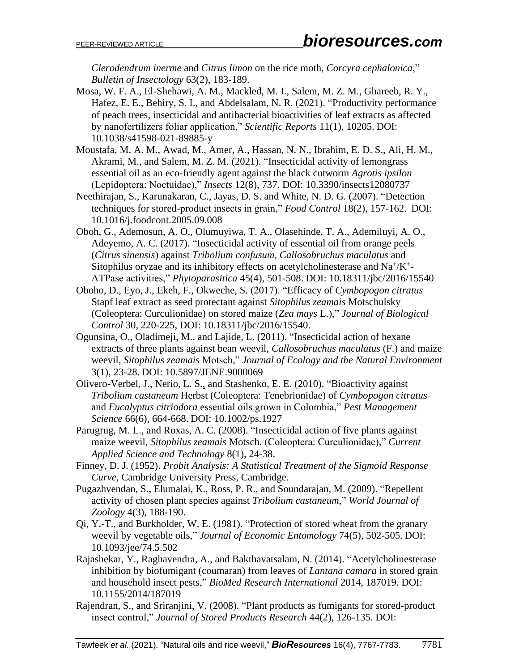*Clerodendrum inerme* and *Citrus limon* on the rice moth, *Corcyra cephalonica*," *Bulletin of Insectology* 63(2), 183-189.

- Mosa, W. F. A., El-Shehawi, A. M., Mackled, M. I., Salem, M. Z. M., Ghareeb, R. Y., Hafez, E. E., Behiry, S. I., and Abdelsalam, N. R. (2021). "Productivity performance of peach trees, insecticidal and antibacterial bioactivities of leaf extracts as affected by nanofertilizers foliar application," *Scientific Reports* 11(1), 10205. DOI: 10.1038/s41598-021-89885-y
- Moustafa, M. A. M., Awad, M., Amer, A., Hassan, N. N., Ibrahim, E. D. S., Ali, H. M., Akrami, M., and Salem, M. Z. M. (2021). "Insecticidal activity of lemongrass essential oil as an eco-friendly agent against the black cutworm *Agrotis ipsilon* (Lepidoptera: Noctuidae)," *Insects* 12(8), 737. [DOI: 10.3390/insects12080737](https://doi.org/10.3390/insects12080737)
- Neethirajan, S., Karunakaran, C., Jayas, D. S. and White, N. D. G. (2007). "Detection techniques for stored-product insects in grain," *Food Control* 18(2), 157-162. DOI: 10.1016/j.foodcont.2005.09.008
- Oboh, G., Ademosun, A. O., Olumuyiwa, T. A., Olasehinde, T. A., Ademiluyi, A. O., Adeyemo, A. C. (2017). "Insecticidal activity of essential oil from orange peels (*Citrus sinensis*) against *Tribolium confusum*, *Callosobruchus maculatus* and Sitophilus oryzae and its inhibitory effects on acetylcholinesterase and  $Na^+/K^+$ -ATPase activities," *Phytoparasitica* 45(4), 501-508. DOI: 10.18311/jbc/2016/15540
- Oboho, D., Eyo, J., Ekeh, F., Okweche, S. (2017). "Efficacy of *Cymbopogon citratus* Stapf leaf extract as seed protectant against *Sitophilus zeamais* Motschulsky (Coleoptera: Curculionidae) on stored maize (*Zea mays* L.)," *Journal of Biological Control* 30, 220-225, DOI: 10.18311/jbc/2016/15540.
- Ogunsina, O., Oladimeji, M., and Lajide, L. (2011). "Insecticidal action of hexane extracts of three plants against bean weevil, *Callosobruchus maculatus* (F.) and maize weevil, *Sitophilus zeamais* Motsch," *Journal of Ecology and the Natural Environment* 3(1), 23-28. DOI: 10.5897/JENE.9000069
- Olivero-Verbel, J., Nerio, L. S., and Stashenko, E. E. (2010). "Bioactivity against *Tribolium castaneum* Herbst (Coleoptera: Tenebrionidae) of *Cymbopogon citratus* and *Eucalyptus citriodora* essential oils grown in Colombia," *Pest Management Science* 66(6), 664-668. DOI: 10.1002/ps.1927
- Parugrug, M. L., and Roxas, A. C. (2008). "Insecticidal action of five plants against maize weevil, *Sitophilus zeamais* Motsch. (Coleoptera: Curculionidae)," *Current Applied Science and Technology* 8(1), 24-38.
- Finney, D. J. (1952). *Probit Analysis: A Statistical Treatment of the Sigmoid Response Curve*, Cambridge University Press, Cambridge.
- Pugazhvendan, S., Elumalai, K., Ross, P. R., and Soundarajan, M. (2009). "Repellent activity of chosen plant species against *Tribolium castaneum*," *World Journal of Zoology* 4(3), 188-190.
- Qi, Y.-T., and Burkholder, W. E. (1981). "Protection of stored wheat from the granary weevil by vegetable oils," *Journal of Economic Entomology* 74(5), 502-505. DOI: 10.1093/jee/74.5.502
- Rajashekar, Y., Raghavendra, A., and Bakthavatsalam, N. (2014). "Acetylcholinesterase inhibition by biofumigant (coumaran) from leaves of *Lantana camara* in stored grain and household insect pests," *BioMed Research International* 2014, 187019. DOI: 10.1155/2014/187019
- Rajendran, S., and Sriranjini, V. (2008). "Plant products as fumigants for stored-product insect control," *Journal of Stored Products Research* 44(2), 126-135. DOI: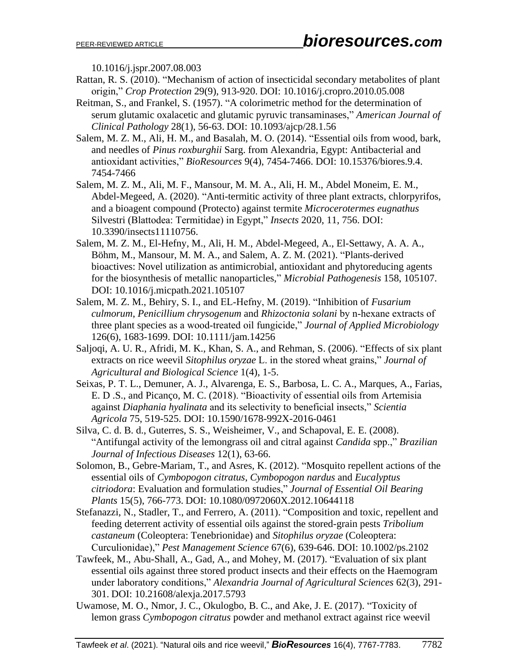10.1016/j.jspr.2007.08.003

- Rattan, R. S. (2010). "Mechanism of action of insecticidal secondary metabolites of plant origin," *Crop Protection* 29(9), 913-920. DOI: 10.1016/j.cropro.2010.05.008
- Reitman, S., and Frankel, S. (1957). "A colorimetric method for the determination of serum glutamic oxalacetic and glutamic pyruvic transaminases," *American Journal of Clinical Pathology* 28(1), 56-63. DOI: 10.1093/ajcp/28.1.56
- Salem, M. Z. M., Ali, H. M., and Basalah, M. O. (2014). "Essential oils from wood, bark, and needles of *Pinus roxburghii* Sarg. from Alexandria, Egypt: Antibacterial and antioxidant activities," *BioResources* 9(4), 7454-7466. DOI: 10.15376/biores.9.4. 7454-7466
- Salem, M. Z. M., Ali, M. F., Mansour, M. M. A., Ali, H. M., Abdel Moneim, E. M., Abdel-Megeed, A. (2020). "Anti-termitic activity of three plant extracts, chlorpyrifos, and a bioagent compound (Protecto) against termite *Microcerotermes eugnathus* Silvestri (Blattodea: Termitidae) in Egypt," *Insects* 2020, 11, 756. DOI: 10.3390/insects11110756.
- Salem, M. Z. M., El-Hefny, M., Ali, H. M., Abdel-Megeed, A., El-Settawy, A. A. A., Böhm, M., Mansour, M. M. A., and Salem, A. Z. M. (2021). "Plants-derived bioactives: Novel utilization as antimicrobial, antioxidant and phytoreducing agents for the biosynthesis of metallic nanoparticles," *Microbial Pathogenesis* 158, 105107. DOI: 10.1016/j.micpath.2021.105107
- Salem, M. Z. M., Behiry, S. I., and EL‐Hefny, M. (2019). "Inhibition of *Fusarium culmorum*, *Penicillium chrysogenum* and *Rhizoctonia solani* by n‐hexane extracts of three plant species as a wood‐treated oil fungicide," *Journal of Applied Microbiology* 126(6), 1683-1699. [DOI: 10.1111/jam.14256](https://doi.org/10.1111/jam.14256)
- Saljoqi, A. U. R., Afridi, M. K., Khan, S. A., and Rehman, S. (2006). "Effects of six plant extracts on rice weevil *Sitophilus oryzae* L. in the stored wheat grains," *Journal of Agricultural and Biological Science* 1(4), 1-5.
- Seixas, P. T. L., Demuner, A. J., Alvarenga, E. S., Barbosa, L. C. A., Marques, A., Farias, E. D .S., and Picanço, M. C. (2018). "Bioactivity of essential oils from Artemisia against *Diaphania hyalinata* and its selectivity to beneficial insects," *Scientia Agricola* 75, 519-525. DOI: 10.1590/1678-992X-2016-0461
- Silva, C. d. B. d., Guterres, S. S., Weisheimer, V., and Schapoval, E. E. (2008). "Antifungal activity of the lemongrass oil and citral against *Candida* spp.," *Brazilian Journal of Infectious Diseases* 12(1), 63-66.
- Solomon, B., Gebre-Mariam, T., and Asres, K. (2012). "Mosquito repellent actions of the essential oils of *Cymbopogon citratus*, *Cymbopogon nardus* and *Eucalyptus citriodora*: Evaluation and formulation studies," *Journal of Essential Oil Bearing Plants* 15(5), 766-773. DOI: 10.1080/0972060X.2012.10644118
- Stefanazzi, N., Stadler, T., and Ferrero, A. (2011). "Composition and toxic, repellent and feeding deterrent activity of essential oils against the stored-grain pests *Tribolium castaneum* (Coleoptera: Tenebrionidae) and *Sitophilus oryzae* (Coleoptera: Curculionidae)," *Pest Management Science* 67(6), 639-646. DOI: 10.1002/ps.2102
- Tawfeek, M., Abu-Shall, A., Gad, A., and Mohey, M. (2017). "Evaluation of six plant essential oils against three stored product insects and their effects on the Haemogram under laboratory conditions," *Alexandria Journal of Agricultural Sciences* 62(3), 291- 301. DOI: 10.21608/alexja.2017.5793
- Uwamose, M. O., Nmor, J. C., Okulogbo, B. C., and Ake, J. E. (2017). "Toxicity of lemon grass *Cymbopogon citratus* powder and methanol extract against rice weevil